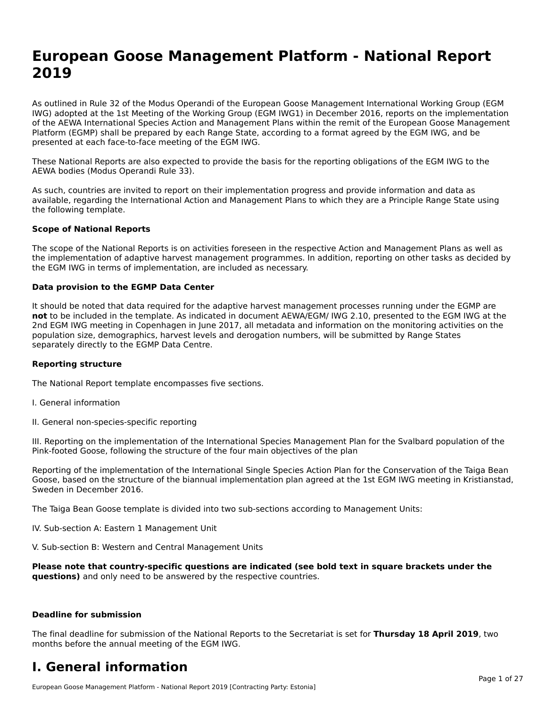# **European Goose Management Platform - National Report**European Goose Management Platform - National **Neport**<br>2010

As outlined in Rule 32 of the Modus Operandi of the European Goose Management International Working Group (EGM As buthled in Rule 32 of the Modus Operandi of the Lufopean Goose Management International Working Group (LGM<br>IWG) adopted at the 1st Meeting of the Working Group (EGM IWG1) in December 2016, reports on the implementation of the AEWA International Species Action and Management Plans within the remit of the European Goose Management Platform (EGMP) shall be prepared by each Range State, according to a format agreed by the EGM IWG, and be presented at each face-to-face meeting of the EGM IWG.

These National Reports are also expected to provide the basis for the reporting obligations of the EGM IWG to the AEWA bodies (Modus Operandi Rule 33).

As such, countries are invited to report on their implementation progress and provide information and data as<br>available, regarding the International Action and Management Plans to which they are a Principle Range State usi available, regarding the International Action and Management Plans to which they are a Principle Range State using the following template.

#### **Scope of National Reports**

The scope of the National Reports is on activities foreseen in the respective Action and Management Plans as well as The scope of the National Reports is on activities foreseen in the respective Action and Management Plans as well as<br>the implementation of adaptive harvest management programmes. In addition, reporting on other tasks as de the EGM IWG in terms of implementation, are included as necessary.

#### **Data provision to the EGMP Data Center**

It should be noted that data required for the adaptive harvest management processes running under the EGMP are **not** to be included in the template. As indicated in document AEWA/EGM/ IWG 2.10, presented to the EGM IWG at the 2nd EGM IWG meeting in Copenhagen in June 2017, all metadata and information on the monitoring activities on the population size, demographics, harvest levels and derogation numbers, will be submitted by Range States separately directly to the EGMP Data Centre.

#### **Reporting structure**

The National Report template encompasses five sections.

- I. General information
- II. General non-species-specific reporting

III. Reporting on the implementation of the International Species Management Plan for the Svalbard population of the

Reporting of the implementation of the International Single Species Action Plan for the Conservation of the Taiga Bean Reporting of the implementation of the international single species Action Fram for the conservation of the laiga beam<br>Goose, based on the structure of the biannual implementation plan agreed at the 1st EGM IWG meeting in

The Taiga Bean Goose template is divided into two sub-sections according to Management Units:

IV. Sub-section A: Eastern 1 Management Unit

V. Sub-section B: Western and Central Management Units

Please note that country-specific questions are indicated (see bold text in square brackets under the **questions)** and only need to be answered by the respective countries.

#### **Deadline for submission**

The final deadline for submission of the National Reports to the Secretariat is set for **Thursday 18 April 2019**, two months before the annual meeting of the EGM IWG.

#### **I. General information**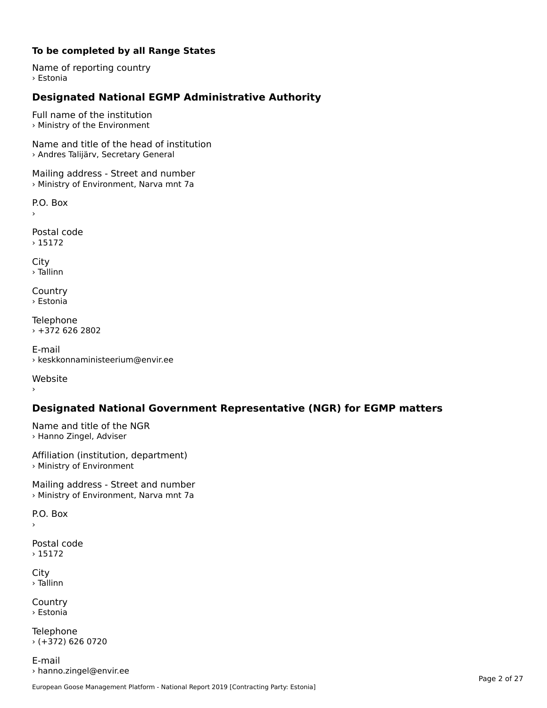#### **To be completed by all Range States**

Name of reporting country › Estonia

# **Designated National EGMP Administrative Authority**

Full name of the institution › Ministry of the Environment

Name and title of the head of institution › Andres Talijärv, Secretary General

Mailing address - Street and number › Ministry of Environment, Narva mnt 7a

P.O. Box

Postal code

› 15172

City › Tallinn

**Country** › Estonia

Telephone › +372 626 2802

E-mail› keskkonnaministeerium@envir.ee

Website

## **Designated National Government Representative (NGR) for EGMP matters**

Name and title of the NGR › Hanno Zingel, Adviser

Affiliation (institution, department) › Ministry of Environment

Mailing address - Street and number > Ministry of Environment, Narva mnt 7a

P.O. Box

Postal code› 15172

City › Tallinn

Country› Estonia

Telephone › (+372) 626 0720

E-mail› hanno.zingel@envir.ee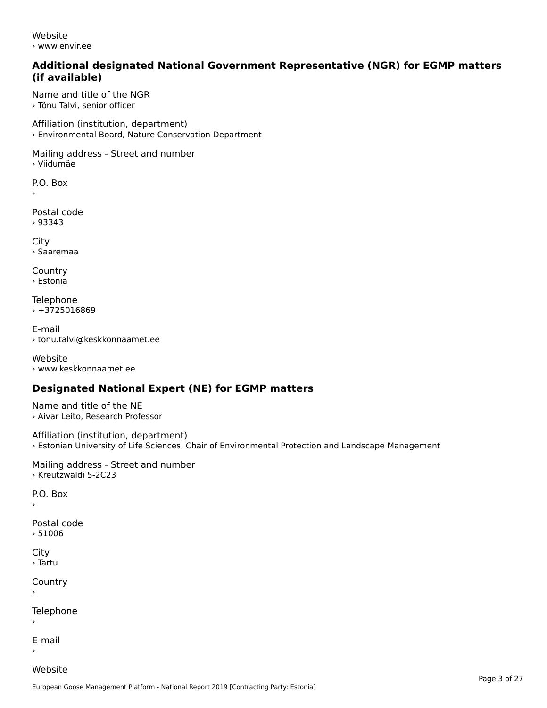Website› www.envir.ee

#### **Additional designated National Government Representative (NGR) for EGMP matters (if available)**

Name and title of the NGR› Tõnu Talvi, senior officer

Affiliation (institution, department) › Environmental Board, Nature Conservation Department

Mailing address - Street and number › Viidumäe

P.O. Box

›

Postal code› 93343

**City** › Saaremaa

**Country** › Estonia

Telephone  $\times$  +3725016869

E-mail› tonu.talvi@keskkonnaamet.ee

Website › www.keskkonnaamet.ee

## **Designated National Expert (NE) for EGMP matters**

Name and title of the NE› Aivar Leito, Research Professor

Affiliation (institution, department) › Estonian University of Life Sciences, Chair of Environmental Protection and Landscape Management

Mailing address - Street and number › Kreutzwaldi 5-2C23

P.O. Box

›

Postal code› 51006

**City** › Tartu

**Country** 

Telephone

E-mail›

Website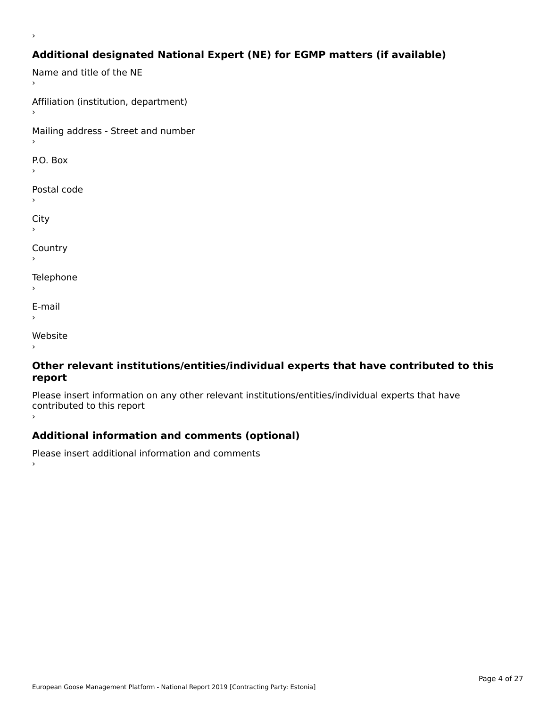# **Additional designated National Expert (NE) for EGMP matters (if available)**

Name and title of the NE Affiliation (institution, department) Mailing address - Street and number  $\overline{P}$ ›Postal code ›City ›**Country Telephone**  $\bar{\phantom{a}}$ E-mail›Website›

›

#### **Other relevant institutions/entities/individual experts that have contributed to this report**report

Please insert information on any other relevant institutions/entities/individual experts that have contributed to this report ›

## **Additional information and comments (optional)**

Please insert additional information and comments ›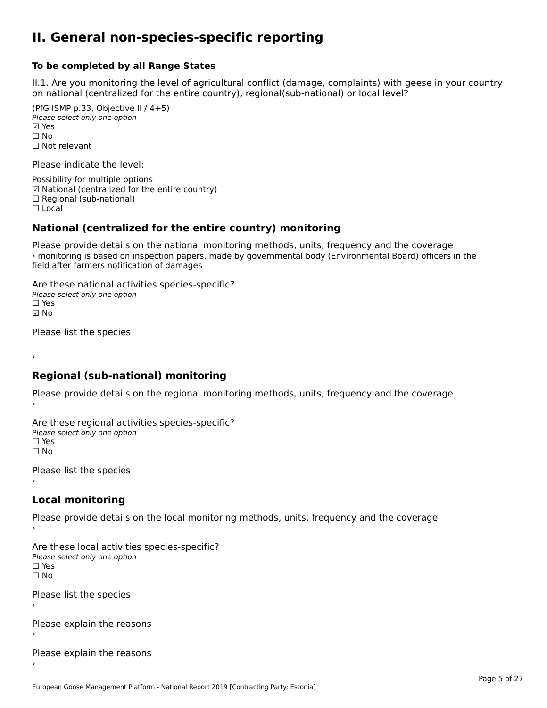#### **II. General non-species-specific reporting**

#### **To be completed by all Range States**

II.1. Are you monitoring the level of agricultural conflict (damage, complaints) with geese in your country n.i. Are you monitoring the lever or agricultural connict (damage, complaints) with g<br>on national (centralized for the entire country), regional(sub-national) or local level?

(PfG ISMP p.33, Objective II  $(4+5)$ ) Please select only one option ☑ Yes**☑ Yes**<br>□ No □ No<br>□ Not relevant

Please indicate the level:

Possibility for multiple options гозымнутог mattiple options<br>☑ National (centralized for the entire country)  $\Box$  Regional (sub-national)

☐ Local

›

#### **National (centralized for the entire country) monitoring**

Please provide details on the national monitoring methods, units, frequency and the coverage › monitoring is based on inspection papers, made by governmental body (Environmental Board) officers in the field after farmers notification of damages

Are these national activities species-specific? ∩ne enese national activity<br>Please select only one option ☑ No

Please list the species

#### **Regional (sub-national) monitoring**

Please provide details on the regional monitoring methods, units, frequency and the coverage

Are these regional activities species-specific? Please select only one option ☐ Yes☐ No

Please list the species ›

### **Local monitoring**

Please provide details on the local monitoring methods, units, frequency and the coverage

Are these local activities species-specific? ∩ne enese local decrimed.<br>Please select only one option □ Yes<br>□ No

Please list the species ›

Please explain the reasons

Please explain the reasons ›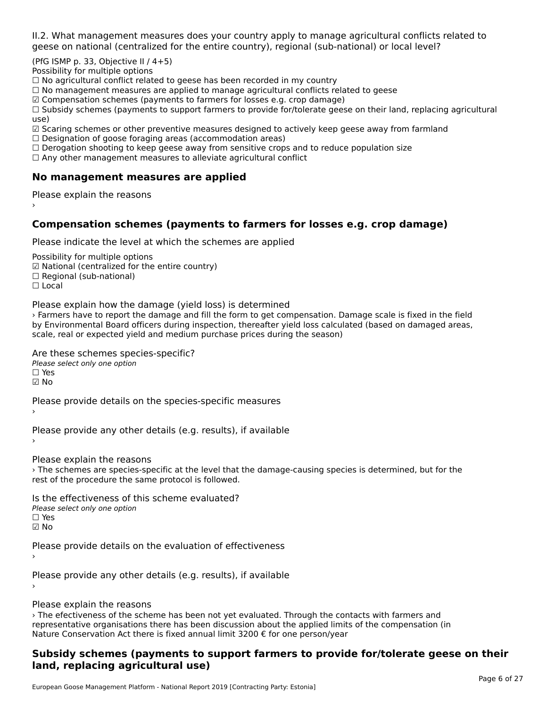II.2. What management measures does your country apply to manage agricultural conflicts related to

(PfG ISMP p. 33, Objective II  $/$  4+5)

Possibility for multiple options

™assibility for maltiple options<br>□ No agricultural conflict related to geese has been recorded in my country  $\Box$  No agricultural conflict related to geese has been recorded in high conflict  $r$ 

 $\Box$  No management measures are applied to manage agricultural commets relations to  $\Box$ 

 $\mathbb Z$  Compensation schemes (payments to farmers for losses e.g. crop damage)

ഇ compensation schemes (payments to farmers for losses e.g. crop damage)<br>□ Subsidy schemes (payments to support farmers to provide for/tolerate geese on their land, replacing agricultural use)

use,<br>☑ Scaring schemes or other preventive measures designed to actively keep geese away from farmland

⊠ Scaring scrientes of other preventive measures designed to a<br>□ Designation of goose foraging areas (accommodation areas)

□ Designation of goose foraging areas (accommodation areas)<br>□ Derogation shooting to keep geese away from sensitive crops and to reduce population size

 $\Box$  Any other management measures to alleviate agricultural conflict

### **No management measures are applied**

Please explain the reasons ›

### **Compensation schemes (payments to farmers for losses e.g. crop damage)**

Please indicate the level at which the schemes are applied

Possibility for multiple options rossibility for multiple options<br>☑ National (centralized for the entire country) ⊠ National (centranzed io<br>□ Regional (sub-national) ☐ Local

Please explain how the damage (yield loss) is determined

› Farmers have to report the damage and fill the form to get compensation. Damage scale is fixed in the field by Environmental Board officers during inspection, thereafter yield loss calculated (based on damaged areas, by Environmental board onicers during inspection, thereafter yield loss calcul<br>scale, real or expected yield and medium purchase prices during the season)

Are these schemes species-specific?

∩ne these senemes spee<br>Please select only one option

 $\square$  Yes

☑ No

Please provide details on the species-specific measures

Please provide any other details (e.g. results), if available

Please explain the reasons

› The schemes are species-specific at the level that the damage-causing species is determined, but for the The schemes are species-specific at the lever that<br>rest of the procedure the same protocol is followed.

Is the effectiveness of this scheme evaluated?Please select only one option ☐ Yes☑ No

Please provide details on the evaluation of effectiveness

Please provide any other details (e.g. results), if available

Please explain the reasons

recase explain the reasons<br>The efectiveness of the scheme has been not yet evaluated. Through the contacts with farmers and<br>in the applied limits of the compensation (in representative organisations there has been discussion about the applied limits of the compensation (in representative organisations there has been discussion about the applied in it.<br>Nature Conservation Act there is fixed annual limit 3200 € for one person/year

#### **Subsidy schemes (payments to support farmers to provide for/tolerate geese on their land, replacing agricultural use)**land, replacing agricultural use)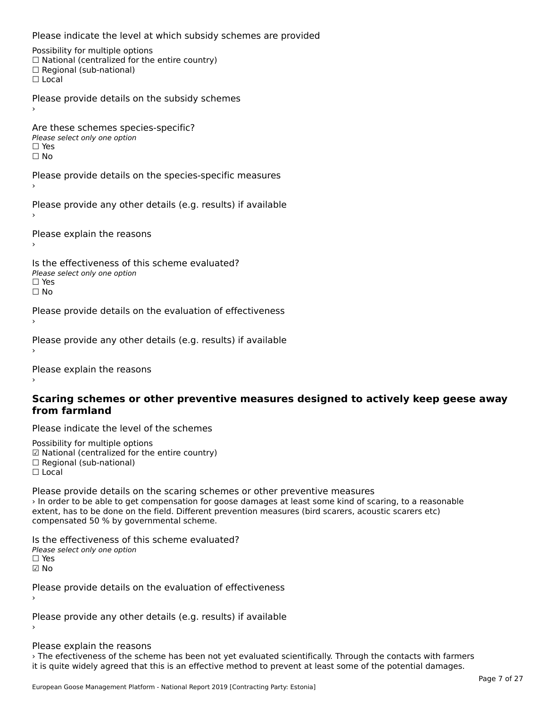Please indicate the level at which subsidy schemes are provided

Possibility for multiple options rossibility for multiple options<br>□ National (centralized for the entire country) □ Regional (centranzed to<br>□ Regional (sub-national) ☐ Local

Please provide details on the subsidy schemes

Are these schemes species-specific?ric criese serientes spec<br>Please select only one option ☐ Yes

☐ No

Please provide details on the species-specific measures

Please provide any other details (e.g. results) if available

Please explain the reasons

Is the effectiveness of this scheme evaluated?Please select only one option ☐ Yesים<br>⊡ No

Please provide details on the evaluation of effectiveness

Please provide any other details (e.g. results) if available

Please explain the reasons

#### **Scaring schemes or other preventive measures designed to actively keep geese awayfrom farmland**

Please indicate the level of the schemes

Possibility for multiple options гозывниу тог mattiple options<br>☑ National (centralized for the entire country)  $\Box$  Regional (sub-national) ☐ Local

Please provide details on the scaring schemes or other preventive measures › In order to be able to get compensation for goose damages at least some kind of scaring, to a reasonable extent, has to be done on the field. Different prevention measures (bird scarers, acoustic scarers etc) compensated 50 % by governmental scheme.

Is the effectiveness of this scheme evaluated? □ CIC CILCCLIVENC55 OF C<br>Please select only one option  $\Box$  Yes ☑ No

Please provide details on the evaluation of effectiveness

Please provide any other details (e.g. results) if available

#### Please explain the reasons

› The efectiveness of the scheme has been not yet evaluated scientifically. Through the contacts with farmers it is quite widely agreed that this is an effective method to prevent at least some of the potential damages.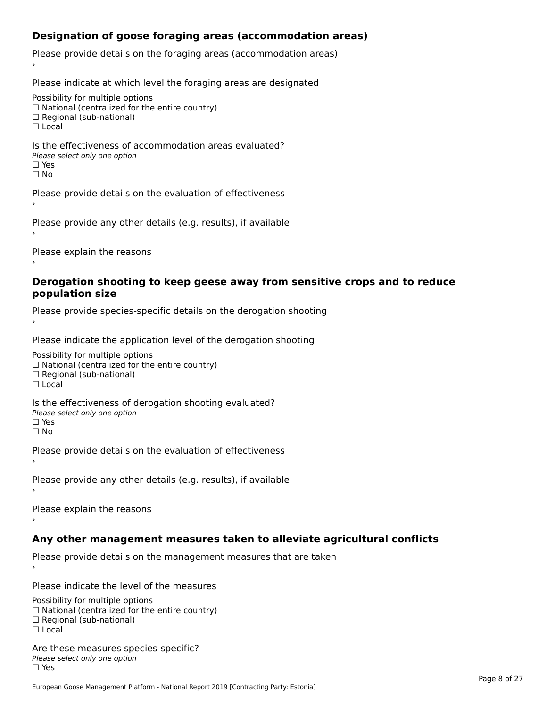## **Designation of goose foraging areas (accommodation areas)**

Please provide details on the foraging areas (accommodation areas)

Please indicate at which level the foraging areas are designated

Possibility for multiple options

rossibility for multiple options<br>□ National (centralized for the entire country)

□ National (centralized io<br>□ Regional (sub-national)

☐ Local

#### Is the effectiveness of accommodation areas evaluated?□ CILCCCCVCIC55 OF 0<br>Please select only one option □ Yes<br>□ No

Please provide details on the evaluation of effectiveness

Please provide any other details (e.g. results), if available

Please explain the reasons

#### **Derogation shooting to keep geese away from sensitive crops and to reduce population size**

Please provide species-specific details on the derogation shooting ›

Please indicate the application level of the derogation shooting

Possibility for multiple options

 $\Box$  National (centralized for the entire country)

 $\Box$  Regional (sub-national)

☐ Local

Is the effectiveness of derogation shooting evaluated?

□ CITC CITCCLIVENC55 OF 0<br>Please select only one option

□ Yes<br>□ No

Please provide details on the evaluation of effectiveness

Please provide any other details (e.g. results), if available

Please explain the reasons

## **Any other management measures taken to alleviate agricultural conflicts**

Please provide details on the management measures that are taken

Please indicate the level of the measures

Possibility for multiple options rossibility for multiple options<br>□ National (centralized for the entire country) □ Regional (centranzed to<br>□ Regional (sub-national) ☐ Local

Are these measures species-specific?Please select only one optionriease<br>□ Yes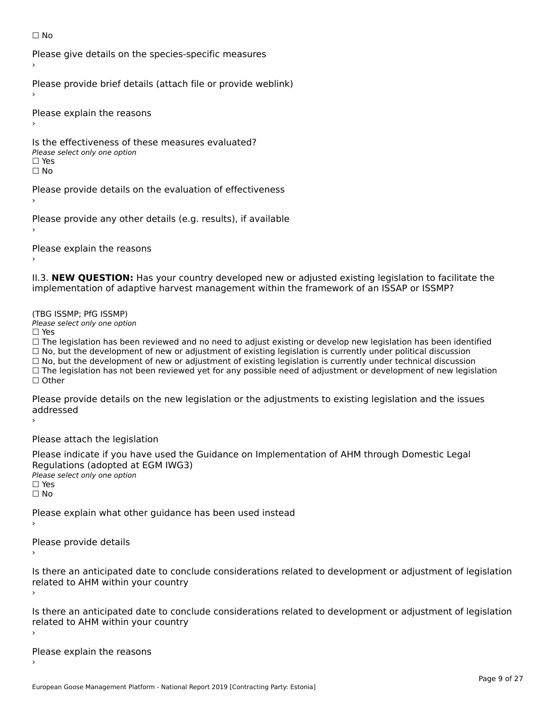#### ☐ No

Please give details on the species-specific measures

Please provide brief details (attach file or provide weblink)

Please explain the reasons

Is the effectiveness of these measures evaluated?□ CIC CILCCLIVENC55 OF C<br>Please select only one option □ Yes<br>□ No

Please provide details on the evaluation of effectiveness

Please provide any other details (e.g. results), if available

Please explain the reasons

II.3. **NEW QUESTION:** Has your country developed new or adjusted existing legislation to facilitate the implementation of adaptive harvest management within the framework of an ISSAP or ISSMP?

(TBG ISSMP; PfG ISSMP)

Please select only one option ☐ Yes

 $\Box$  Yes

☐ The legislation has been reviewed and no need to adjust existing or develop new legislation has been identified  $\Box$  The regislation has been reviewed and no need to adjust existing or develop hew regislation has been identify and  $\Box$  No, but the development of new or adjustment of existing legislation is currently under political  $\Box$  No, but the development of new or adjustment of existing legislation is currently under technical discussion ☐ The legislation has not been reviewed yet for any possible need of adjustment or development of new legislation □ Tie ie<br>□ Other

Please provide details on the new legislation or the adjustments to existing legislation and the issues riease piu<br>seddressed ›

Please attach the legislation

Please indicate if you have used the Guidance on Implementation of AHM through Domestic Legal Regulations (adopted at EGM IWG3) ∩egalations (aaopted al.<br>Please select only one option

□ Yes<br>□ No

Please explain what other guidance has been used instead

Please provide details

Is there an anticipated date to conclude considerations related to development or adjustment of legislation is there an anticipated date to control<br>related to AHM within your country

Is there an anticipated date to conclude considerations related to development or adjustment of legislation Proced to Arm within your country

Please explain the reasons›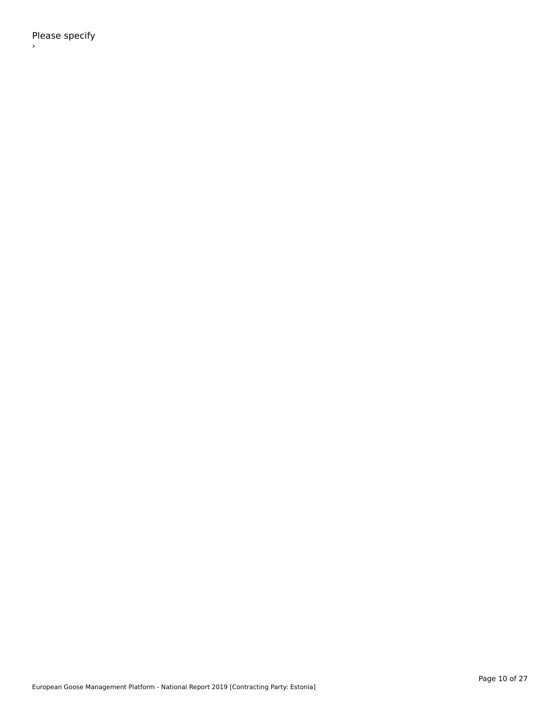Please specify ›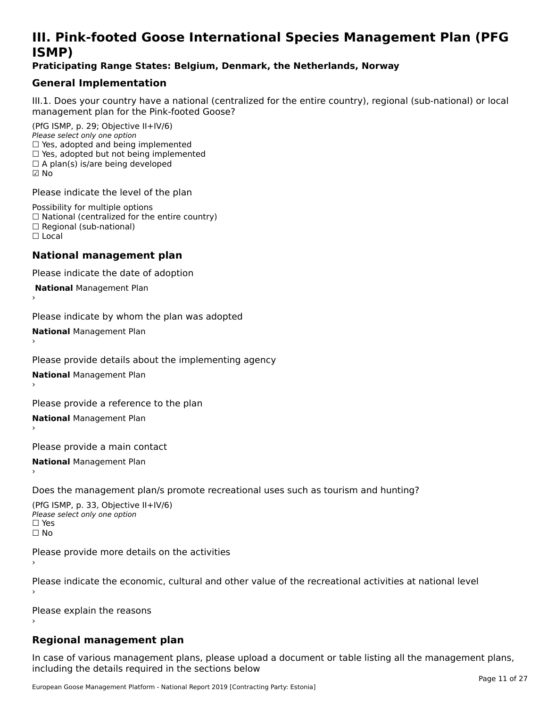# **III. Pink-footed Goose International Species Management Plan (PFG**III. FIIIN-IUULEU GUUSE IIILEI II**atiunai Species Management Fian (FTG**<br>ISMD)

#### **Praticipating Range States: Belgium, Denmark, the Netherlands, Norway**

## **General Implementation**

III.1. Does your country have a national (centralized for the entire country), regional (sub-national) or local

(PfG ISMP, p. 29; Objective II+IV/6) Please select only one option *riease select only one option*<br>□ Yes, adopted and being implemented  $\Box$  ies, adopted and being implemented<br> $\Box$  Yes, adopted but not being implemented  $\Box$  A plan(s) is/are being developed ☑ No

Please indicate the level of the plan

Possibility for multiple options rossibility for multiple options<br>□ National (centralized for the entire country) □ National (centralized io<br>□ Regional (sub-national) ☐ Local

#### **National management plan**

Please indicate the date of adoption

 **National** Management Plan

›

Please indicate by whom the plan was adopted

**National** Management Plan

Please provide details about the implementing agency

**National** Management Plan ›

Please provide a reference to the plan

**National** Management Plan

Please provide a main contact

**National** Management Plan ›

Does the management plan/s promote recreational uses such as tourism and hunting?

(PfG ISMP, p. 33, Objective II+IV/6) Please select only one optionPlease select only one option  $\square$  Yes ☐ No

Please provide more details on the activities

Please indicate the economic, cultural and other value of the recreational activities at national level

Please explain the reasons

### **Regional management plan**

In case of various management plans, please upload a document or table listing all the management plans, $\frac{1}{2}$  case of various management plans, please uploa including the details required in the sections below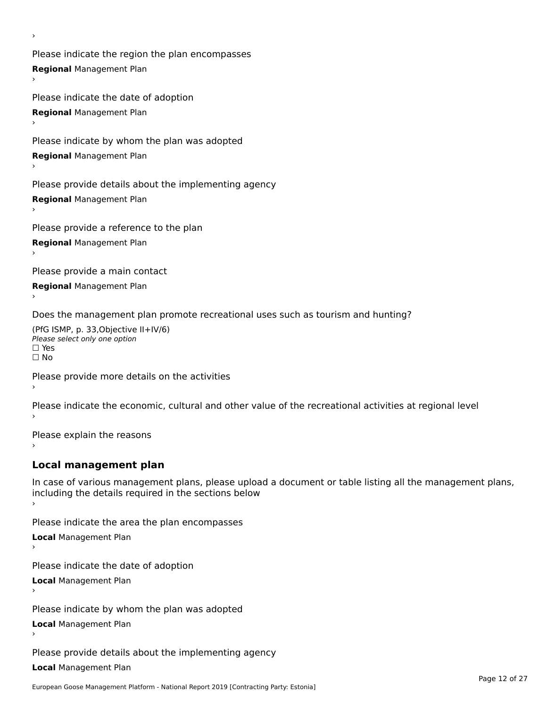Please indicate the region the plan encompasses **Regional** Management Plan ›

Please indicate the date of adoption **Regional** Management Plan ›

Please indicate by whom the plan was adopted

**Regional** Management Plan

›

Please provide details about the implementing agency

**Regional** Management Plan

Please provide a reference to the plan

**Regional** Management Plan

Please provide a main contact

**Regional** Management Plan

Does the management plan promote recreational uses such as tourism and hunting?

(PfG ISMP, p. 33,Objective II+IV/6) ∩∩ וויוכו פון<br>Please select only one option<br>□ Yes □ Yes<br>□ No

Please provide more details on the activities

Please indicate the economic, cultural and other value of the recreational activities at regional level

Please explain the reasons ›

## **Local management plan**

In case of various management plans, please upload a document or table listing all the management plans, In case of various management plans, please uploa<br>including the details required in the sections below

Please indicate the area the plan encompasses

**Local** Management Plan

Please indicate the date of adoption

**Local** Management Plan›

Please indicate by whom the plan was adopted

**Local** Management Plan

Please provide details about the implementing agency

**Local** Management Plan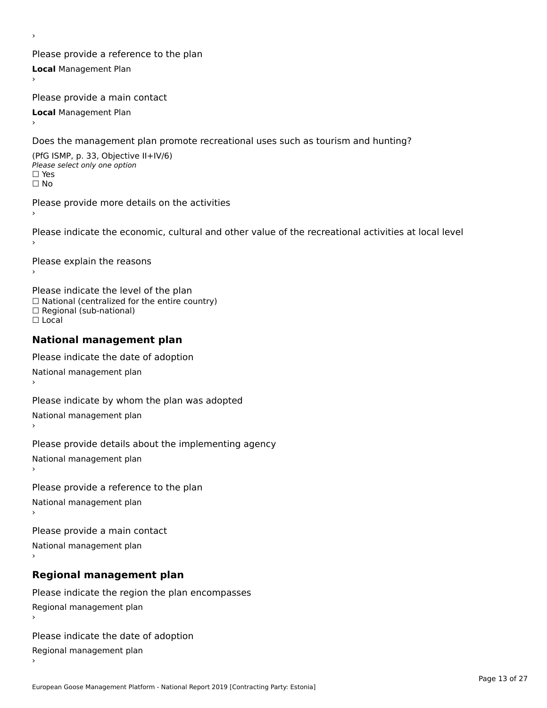Please provide a reference to the plan **Local** Management Plan

Please provide a main contact

**Local** Management Plan

›

Does the management plan promote recreational uses such as tourism and hunting?

(PfG ISMP, p. 33, Objective II+IV/6) Please select only one option☐ Yes☐ No

Please provide more details on the activities

Please indicate the economic, cultural and other value of the recreational activities at local level

Please explain the reasons ›

Please indicate the level of the plan ∩ease marcate the lever of the plan<br>□ National (centralized for the entire country) □ National (centralized io<br>□ Regional (sub-national) ☐ Local

#### **National management plan**

Please indicate the date of adoption National management plan

Please indicate by whom the plan was adopted National management plan ›

Please provide details about the implementing agency

National management plan

Please provide a reference to the plan

National management plan

Please provide a main contact

National management plan

# **Regional management plan**

Please indicate the region the plan encompasses Regional management plan

Please indicate the date of adoption

Regional management plan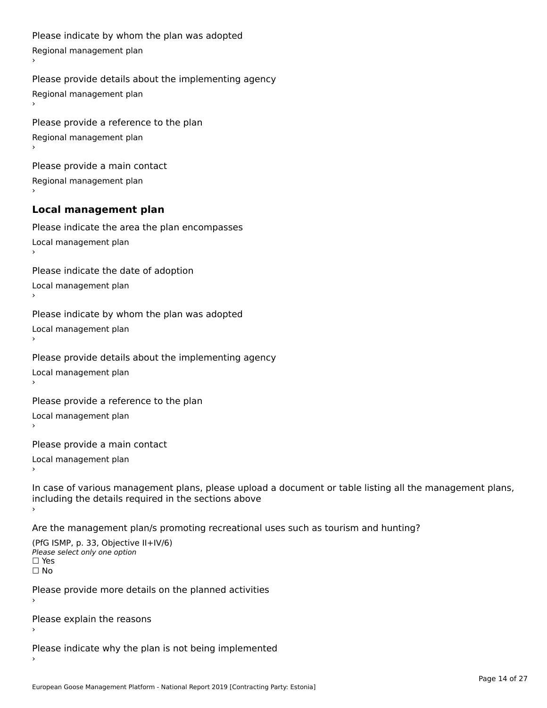```
Please indicate by whom the plan was adopted Regional management plan
Please provide details about the implementing agency Regional management plan
Please provide a reference to the plan Regional management plan
Please provide a main contact Regional management plan
Local management plan
Please indicate the area the plan encompasses Local management plan›Please indicate the date of adoption Local management plan١,
Please indicate by whom the plan was adopted Local management plan›Please provide details about the implementing agency Local management plan١,
Please provide a reference to the plan Local management plan›Please provide a main contact Local management plan١,
In case of various management plans, please upload a document or table listing all the management plans,in case or various management plans, please upload
including the details required in the sections above
Are the management plan/s promoting recreational uses such as tourism and hunting?
```

```
(PfG ISMP, p. 33, Objective II+IV/6)
Please select only one option☐ Yes☐ No
```
Please provide more details on the planned activities

Please explain the reasons›

Please indicate why the plan is not being implemented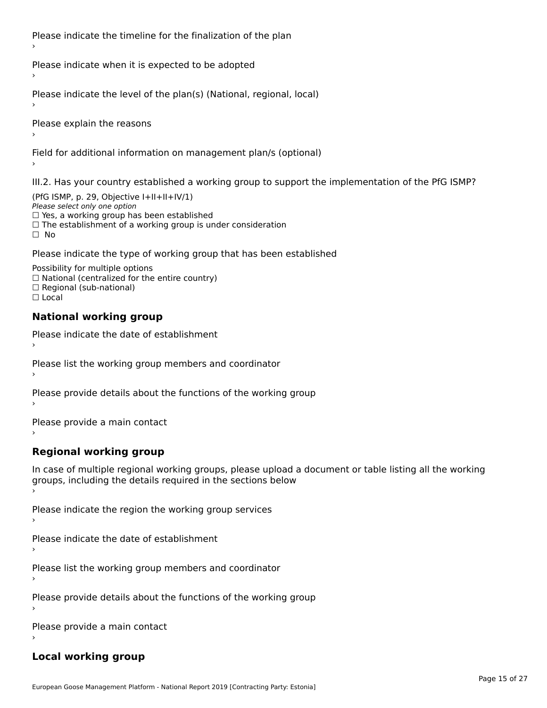Please indicate the timeline for the finalization of the plan

Please indicate when it is expected to be adopted

Please indicate the level of the plan(s) (National, regional, local)

Please explain the reasons

Field for additional information on management plan/s (optional)

III.2. Has your country established a working group to support the implementation of the PfG ISMP?

(PfG ISMP, p. 29, Objective  $I+II+II+IV/1$ ) Please select only one option □ Yes, a working group has been established □ Tes, a working group has been established<br>□ The establishment of a working group is under consideration

Please indicate the type of working group that has been established

Possibility for multiple options ™assibility for multiple options<br>□ National (centralized for the entire country) □ National (centralized io<br>□ Regional (sub-national)  $\Box$  Local

#### **National working group**

›

Please indicate the date of establishment

Please list the working group members and coordinator ›

Please provide details about the functions of the working group ›

Please provide a main contact ›

**Regional working group**

In case of multiple regional working groups, please upload a document or table listing all the working In case of multiple regional working groups, please upload a<br>groups, including the details required in the sections below

Please indicate the region the working group services ›

Please indicate the date of establishment ›

Please list the working group members and coordinator ›

Please provide details about the functions of the working group ›

Please provide a main contact ›

### **Local working group**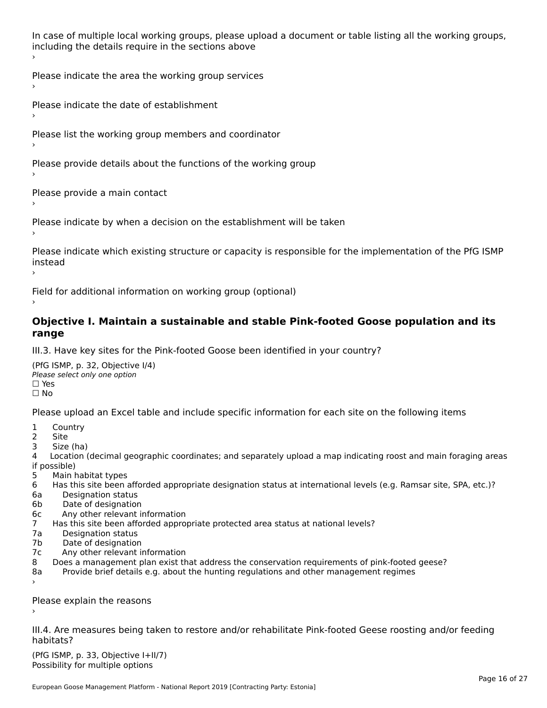In case of multiple local working groups, please upload a document or table listing all the working groups, including the details require in the sections above

Please indicate the area the working group services ›

Please indicate the date of establishment ›

Please list the working group members and coordinator

›

Please provide details about the functions of the working group ›

Please provide a main contact ›

Please indicate by when a decision on the establishment will be taken

Please indicate which existing structure or capacity is responsible for the implementation of the PfG ISMP instead ›

Field for additional information on working group (optional)

#### **Objective I. Maintain a sustainable and stable Pink-footed Goose population and its range**range

III.3. Have key sites for the Pink-footed Goose been identified in your country?

(PfG ISMP, p. 32, Objective I/4)Please select only one option ☐ Yes☐ No

Please upload an Excel table and include specific information for each site on the following items

- $1 \quad \alpha$
- 2 Site
- 2 Site<br>3 Size (ha)

د حدد una<br>4 Location (decimal geographic coordinates; and separately upload a map indicating roost and main foraging areas 4 Location<br>if possible)

- 5 Main habitat types
- 6 Has this site been afforded appropriate designation status at international levels (e.g. Ramsar site, SPA, etc.)? 6. Bestweetter status
- 6a Designation status<br>6b Date of designation
- 
- 6c Any other relevant information
- 7 Has this site been afforded appropriate protected area status at national levels? 7a Designation status
- 7a Designation status<br>7b Date of designation
- 
- 7c Any other relevant information
- 8 Does a management plan exist that address the conservation requirements of pink-footed geese?
- 8a Provide brief details e.g. about the hunting regulations and other management regimes ›

Please explain the reasons

III.4. Are measures being taken to restore and/or rehabilitate Pink-footed Geese roosting and/or feeding habitats?

 $(PCI GMP, p. 33, Qb)$  is the I+II/7) Possibility for multiple optionsPossibility for multiple options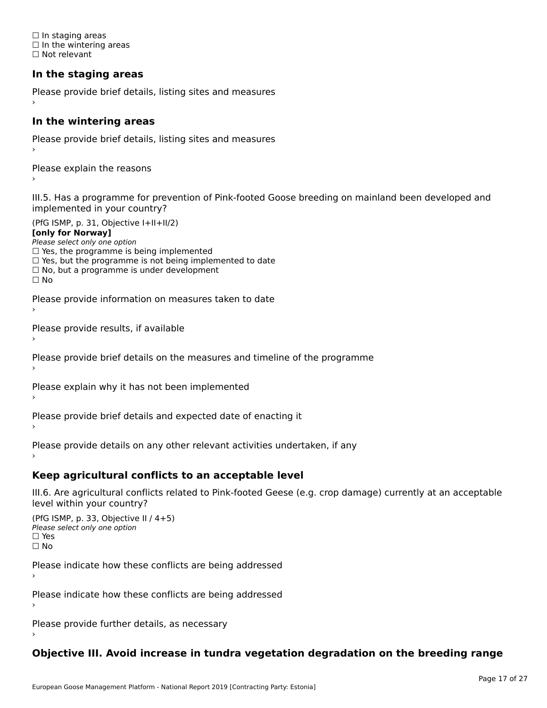☐ In staging areas □ in staging areas<br>□ In the wintering areas ☐ Not relevant

## **In the staging areas**

```
Please provide brief details, listing sites and measures ›
```
#### **In the wintering areas**

Please provide brief details, listing sites and measures ›

Please explain the reasons

III.5. Has a programme for prevention of Pink-footed Goose breeding on mainland been developed and implemented in your country?

(PfG ISMP, p. 31, Objective I+II+II/2)

**[only for Norway]**

Please select only one option riease select only one option<br>□ Yes, the programme is being implemented

 $\Box$  ies, the programme is being implemented to date  $\Box$  Yes, but the programme is not being implemented to date

 $\Box$  No, but a programme is under development

Please provide information on measures taken to date

Please provide results, if available

Please provide brief details on the measures and timeline of the programme

Please explain why it has not been implemented

Please provide brief details and expected date of enacting it

Please provide details on any other relevant activities undertaken, if any›

**Keep agricultural conflicts to an acceptable level**

III.6. Are agricultural conflicts related to Pink-footed Geese (e.g. crop damage) currently at an acceptable

```
(PfG ISMP, p. 33, Objective II (4+5))
Please select only one option
☐ Yes☐ No
```
Please indicate how these conflicts are being addressed

Please indicate how these conflicts are being addressed›

Please provide further details, as necessary ›

## **Objective III. Avoid increase in tundra vegetation degradation on the breeding range**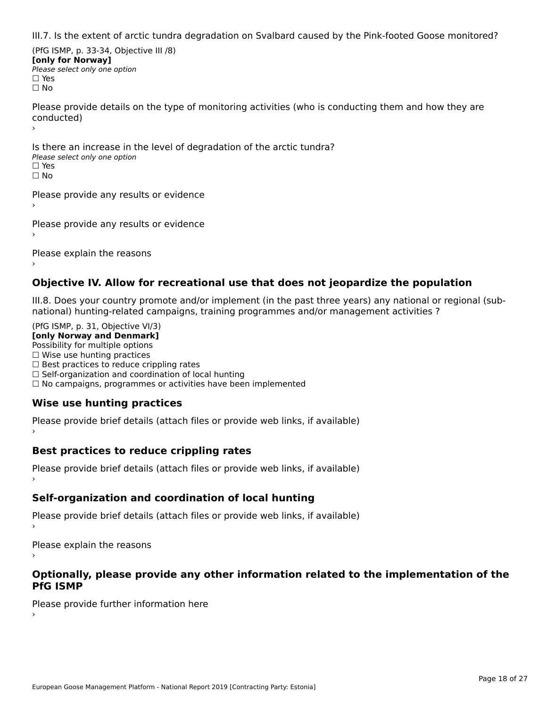III.7. Is the extent of arctic tundra degradation on Svalbard caused by the Pink-footed Goose monitored?

(PfG ISMP, p. 33-34, Objective III /8) **[only for Norway] Please select only one option** □ Yes<br>□ No

Please provide details on the type of monitoring activities (who is conducting them and how they are riease prov ›

Is there an increase in the level of degradation of the arctic tundra? □ CitCre dir increduce in c<br>Please select only one option □ Yes<br>□ No

Please provide any results or evidence

Please provide any results or evidence

Please explain the reasons›

### **Objective IV. Allow for recreational use that does not jeopardize the population**

III.8. Does your country promote and/or implement (in the past three years) any national or regional (sub $m.0.168$  your country promove and/or miplement (in the past time years) any national or

(PfG ISMP, p. 31, Objective VI/3) **[only Norway and Denmark]** Possibility for multiple options ☐ Wise use hunting practices  $\Box$  wise use numing practices<br> $\Box$  Best practices to reduce crippling rates □ Best practices to reduce cripping rates<br>□ Self-organization and coordination of local hunting □ Sen-organization and coordination or local nunting<br>□ No campaigns, programmes or activities have been implemented

# **Wise use hunting practices**

Please provide brief details (attach files or provide web links, if available) ›

## **Best practices to reduce crippling rates**

Please provide brief details (attach files or provide web links, if available)

## **Self-organization and coordination of local hunting**

Please provide brief details (attach files or provide web links, if available)

Please explain the reasons

#### **Optionally, please provide any other information related to the implementation of the PfG ISMP**

Please provide further information here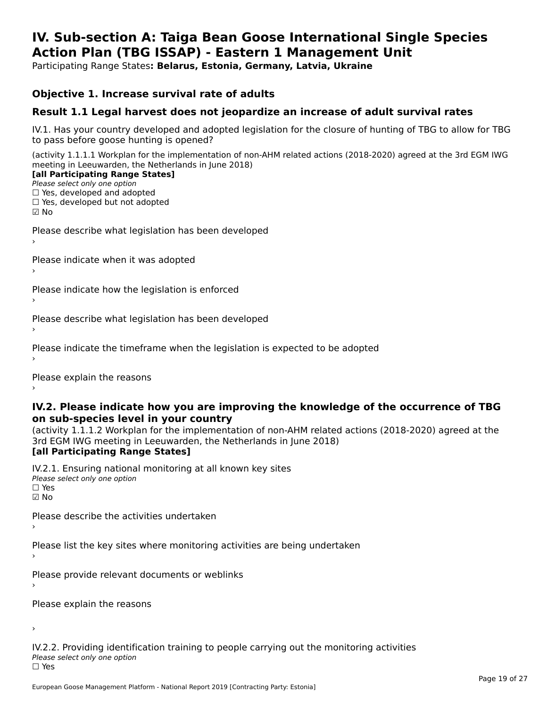#### **IV. Sub-section A: Taiga Bean Goose International Single Species Action Plan (TBG ISSAP) - Eastern 1 Management UnitAction Plan (TBG ISSAP) - Eastern 1 Management Unit**

Participating Range States**: Belarus, Estonia, Germany, Latvia, Ukraine** 

### **Objective 1. Increase survival rate of adults**

## **Result 1.1 Legal harvest does not jeopardize an increase of adult survival rates**

IV.1. Has your country developed and adopted legislation for the closure of hunting of TBG to allow for TBG IV.1. Thas your country developed and add<br>to pass before goose hunting is opened?

(activity 1.1.1.1 Workplan for the implementation of non-AHM related actions (2018-2020) agreed at the 3rd EGM IWG meeting in Leeuwarden, the Netherlands in June 2018) **[all Participating Range States]**

#### [all Participating Range States]

Please select only one option ☐ Yes, developed and adopted

 ☐ Yes, developed but not adopted $\square$  ies, developed but not adopted

Please describe what legislation has been developed

Please indicate when it was adopted

Please indicate how the legislation is enforced

Please describe what legislation has been developed

Please indicate the timeframe when the legislation is expected to be adopted

Please explain the reasons

#### **IV.2. Please indicate how you are improving the knowledge of the occurrence of TBG on sub-species level in your country**on sub-species level in your country

on sub-species fever in your country<br>(activity 1.1.1.2 Workplan for the implementation of non-AHM related actions (2018-2020) agreed at the **Brd EGM IWG meeting in Leeuwarden, the Netherlands in June 2018)** 

#### [all Participating Range States]

IV.2.1. Ensuring national monitoring at all known key sites <del>■ Western Chroning</del> Hational<br>Please select only one option ☑ No

Please describe the activities undertaken

Please list the key sites where monitoring activities are being undertaken

Please provide relevant documents or weblinks

Please explain the reasons

›

IV.2.2. Providing identification training to people carrying out the monitoring activities <del>■ Western Fortung</del> Recrement<br>Please select only one option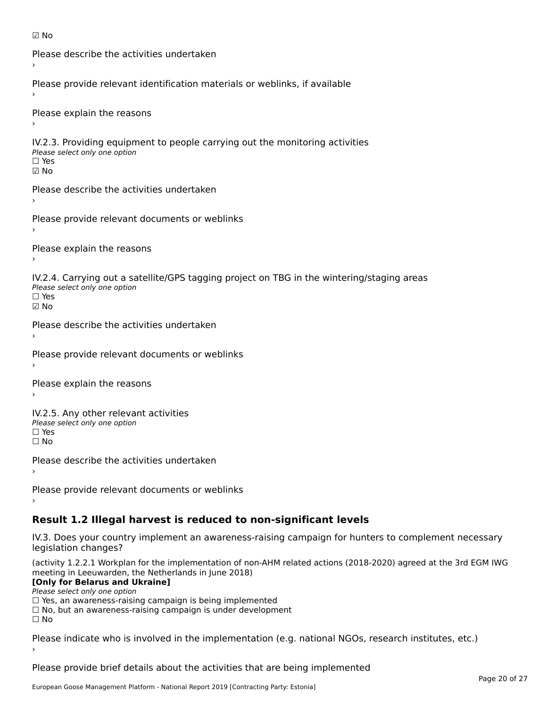```
☑ No
```

```
Please describe the activities undertaken›Please provide relevant identification materials or weblinks, if available
Please explain the reasons
IV.2.3. Providing equipment to people carrying out the monitoring activities
Please select only one option
☐ Yes☑ NoPlease describe the activities undertaken›Please provide relevant documents or weblinks
Please explain the reasons
IV.2.4. Carrying out a satellite/GPS tagging project on TBG in the wintering/staging areas
TV:∠:→: Carrying out a Se<br>Please select only one option
☑ NoPlease describe the activities undertaken›Please provide relevant documents or weblinks
Please explain the reasons
IV.2.5. Any other relevant activities
Please select only one option
☐ Yes□ Yes<br>□ No
Please describe the activities undertaken›Please provide relevant documents or weblinks
Result 1.2 Illegal harvest is reduced to non-significant levels
```
IV.3. Does your country implement an awareness-raising campaign for hunters to complement necessary rv.5. Does your court<br>legislation changes?

(activity 1.2.2.1 Workplan for the implementation of non-AHM related actions (2018-2020) agreed at the 3rd EGM IWG meeting in Leeuwarden, the Netherlands in June 2018)

#### **[Only for Belarus and Ukraine]**

Please select only one option

riease select only one option<br>□ Yes, an awareness-raising campaign is being implemented<br>□ Yes, an awareness-raising campaign is under development

□ No, but an awareness-raising campaign is under development<br>□ N。

 $\Box$  No

Please indicate who is involved in the implementation (e.g. national NGOs, research institutes, etc.)

Please provide brief details about the activities that are being implemented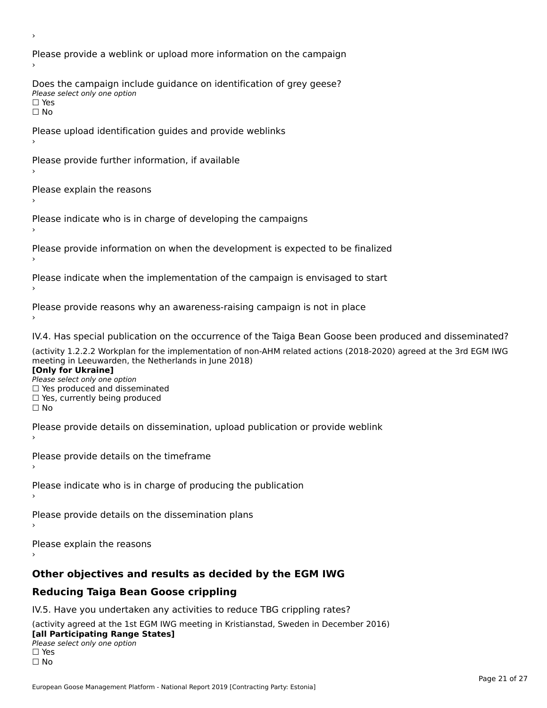Please provide a weblink or upload more information on the campaign Does the campaign include guidance on identification of grey geese? **DOCS THE CAMPATSH THE**<br>Please select only one option □ Yes<br>□ No Please upload identification guides and provide weblinks Please provide further information, if available Please explain the reasons Please indicate who is in charge of developing the campaigns Please provide information on when the development is expected to be finalized Please indicate when the implementation of the campaign is envisaged to start Please provide reasons why an awareness-raising campaign is not in place IV.4. Has special publication on the occurrence of the Taiga Bean Goose been produced and disseminated? (activity 1.2.2.2 Workplan for the implementation of non-AHM related actions (2018-2020) agreed at the 3rd EGM IWG **[Only for Ukraine] □ Yes produced and disseminated**<br>Please select only one option  $\Box$  ies produced and disseminated  $\Box$  ies, currently being produced Please provide details on dissemination, upload publication or provide weblink Please provide details on the timeframe Please indicate who is in charge of producing the publication Please provide details on the dissemination plans Please explain the reasons **Other objectives and results as decided by the EGM IWG Reducing Taiga Bean Goose crippling** IV.5. Have you undertaken any activities to reduce TBG crippling rates? (activity agreed at the 1st EGM IWG meeting in Kristianstad, Sweden in December 2016)

#### **[all Participating Range States]**[all Participating Range States]

**Law Tarticipating Range**<br>Please select only one option

□ Yes<br>□ No

›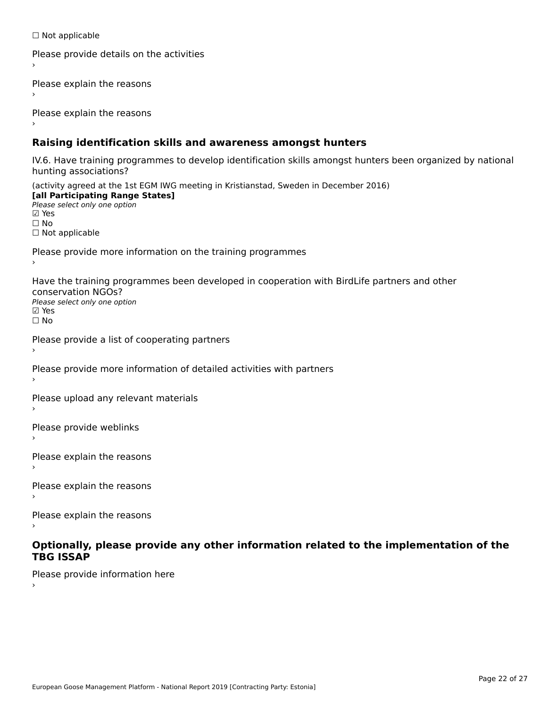☐ Not applicable

```
Please provide details on the activities
```
Please explain the reasons

Please explain the reasons

### **Raising identification skills and awareness amongst hunters**

IV.6. Have training programmes to develop identification skills amongst hunters been organized by national rv.o. riave training pro<br>hunting associations?

(activity agreed at the 1st EGM IWG meeting in Kristianstad, Sweden in December 2016) **[all Participating Range States]**[all Participating Range States] **Lan Tarticipating Range**<br>Please select only one option ☑ Yes☐ No□ Not applicable

Please provide more information on the training programmes

Have the training programmes been developed in cooperation with BirdLife partners and other conservation NGOs?Please select only one option☑ Yes☐ No

```
Please provide a list of cooperating partners
```
Please provide more information of detailed activities with partners

Please upload any relevant materials

Please provide weblinks

Please explain the reasons

Please explain the reasons›

Please explain the reasons

#### **Optionally, please provide any other information related to the implementation of the TBG ISSAPTBG ISSAP**

Please provide information here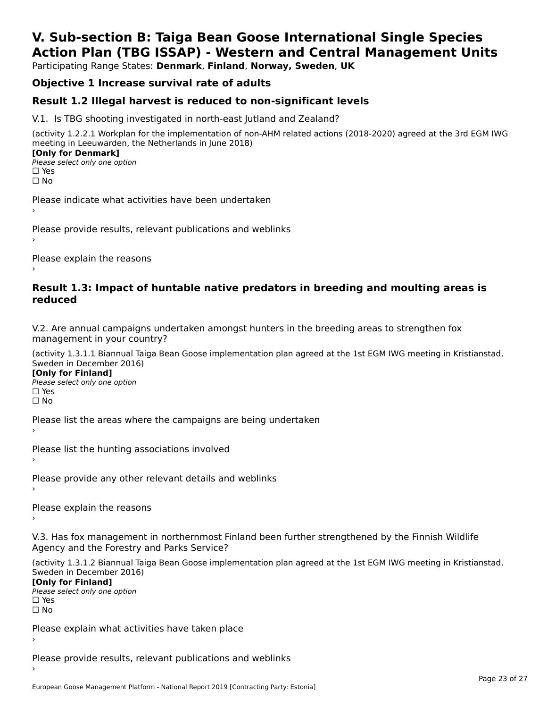# **V. Sub-section B: Taiga Bean Goose International Single SpeciesAction Plan (TBG ISSAP) - Western and Central Management Units**

Participating Range States: **Denmark**, **Finland**, **Norway, Sweden**, **UK**

## **Objective 1 Increase survival rate of adults**

## **Result 1.2 Illegal harvest is reduced to non-significant levels**

V.1. Is TBG shooting investigated in north-east Jutland and Zealand?

(activity 1.2.2.1 Workplan for the implementation of non-AHM related actions (2018-2020) agreed at the 3rd EGM IWG meeting in Leeuwarden, the Netherlands in June 2018) **[Only for Denmark] LOTTLY TOT DETITIONS**<br>Please select only one option

*riease*<br>□ Yes<br>□ No

Please indicate what activities have been undertaken›

Please provide results, relevant publications and weblinks ›

Please explain the reasons

#### **Result 1.3: Impact of huntable native predators in breeding and moulting areas is reduced**

V.2. Are annual campaigns undertaken amongst hunters in the breeding areas to strengthen fox v.z. Are annual campaigns und<br>management in your country?

(activity 1.3.1.1 Biannual Taiga Bean Goose implementation plan agreed at the 1st EGM IWG meeting in Kristianstad, Sweden in December 2016)

**[Only for Finland]** Please select only one optionriease<br>□ Yes ים וכ<br>⊡ No

Please list the areas where the campaigns are being undertaken

Please list the hunting associations involved

Please provide any other relevant details and weblinks ›

Please explain the reasons›

V.3. Has fox management in northernmost Finland been further strengthened by the Finnish Wildlife v.5. Has fox management in northernmost F<br>Agency and the Forestry and Parks Service?

(activity 1.3.1.2 Biannual Taiga Bean Goose implementation plan agreed at the 1st EGM IWG meeting in Kristianstad, Sweden in December 2016) Sweden in December 2016)

[Only for Finland]

**Please select only one option** □ Yes<br>□ No

Please explain what activities have taken place

Please provide results, relevant publications and weblinks ›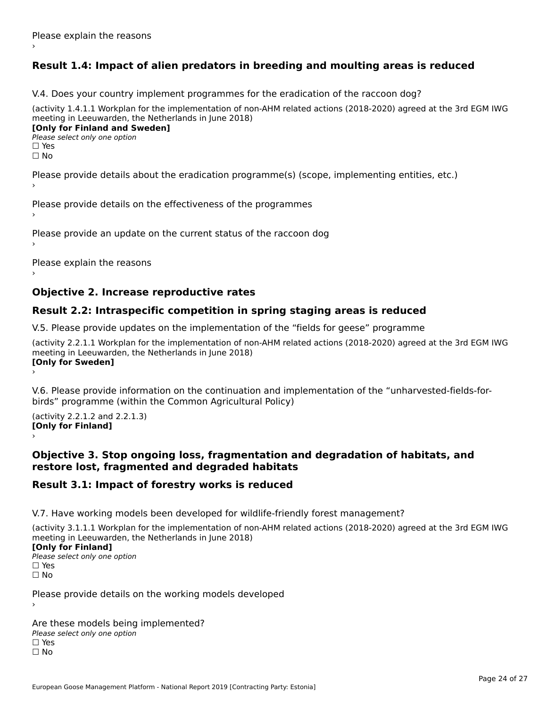## **Result 1.4: Impact of alien predators in breeding and moulting areas is reduced**

V.4. Does your country implement programmes for the eradication of the raccoon dog?

(activity 1.4.1.1 Workplan for the implementation of non-AHM related actions (2018-2020) agreed at the 3rd EGM IWG meeting in Leeuwarden, the Netherlands in June 2018) **[Only for Finland and Sweden]**

**Please select only one option** 

□ Yes<br>□ No

Please provide details about the eradication programme(s) (scope, implementing entities, etc.)

Please provide details on the effectiveness of the programmes

Please provide an update on the current status of the raccoon dog

Please explain the reasons

### **Objective 2. Increase reproductive rates**

### **Result 2.2: Intraspecific competition in spring staging areas is reduced**

V.5. Please provide updates on the implementation of the "fields for geese" programme

(activity 2.2.1.1 Workplan for the implementation of non-AHM related actions (2018-2020) agreed at the 3rd EGM IWG meeting in Leeuwarden, the Netherlands in June 2018) Loury for Swedent

V.6. Please provide information on the continuation and implementation of the "unharvested-fields-forbirds" programme (within the Common Agricultural Policy)birds" programme (within the Common Agricultural Policy)

(activity 2.2.1.2 and 2.2.1.3) **[Only for Finland]** ›

#### **Objective 3. Stop ongoing loss, fragmentation and degradation of habitats, and restore lost, fragmented and degraded habitats**

### **Result 3.1: Impact of forestry works is reduced**

V.7. Have working models been developed for wildlife-friendly forest management?

(activity 3.1.1.1 Workplan for the implementation of non-AHM related actions (2018-2020) agreed at the 3rd EGM IWG meeting in Leeuwarden, the Netherlands in June 2018)

#### **[Only for Finland]**

**Please select only one option** □ Yes<br>□ No

Please provide details on the working models developed

Are these models being implemented? ∩ne enese moders being<br>Please select only one option □ Yes<br>□ No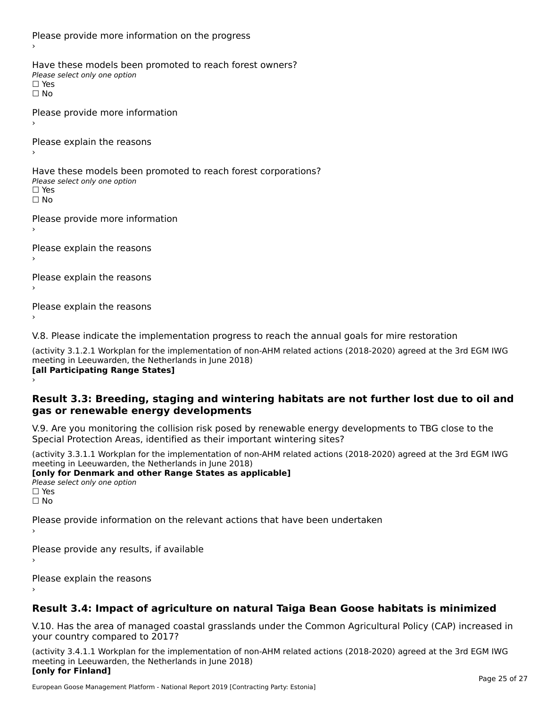Please provide more information on the progress Have these models been promoted to reach forest owners? ∩ave these models bee<br>Please select only one option □ Yes<br>□ No Please provide more information Please explain the reasons ›Have these models been promoted to reach forest corporations? ∩ave these models bee<br>Please select only one option □ Yes<br>□ No Please provide more information Please explain the reasons ›Please explain the reasons›Please explain the reasons›

V.8. Please indicate the implementation progress to reach the annual goals for mire restoration

(activity 3.1.2.1 Workplan for the implementation of non-AHM related actions (2018-2020) agreed at the 3rd EGM IWG meeting in Leeuwarden, the Netherlands in June 2018) **[all Participating Range States]** ›

**Result 3.3: Breeding, staging and wintering habitats are not further lost due to oil and gas or renewable energy developments**gas or renewable energy developments

V.9. Are you monitoring the collision risk posed by renewable energy developments to TBG close to the Special Protection Areas, identified as their important wintering sites?

(activity 3.3.1.1 Workplan for the implementation of non-AHM related actions (2018-2020) agreed at the 3rd EGM IWG meeting in Leeuwarden, the Netherlands in June 2018) **[only for Denmark and other Range States as applicable]**

```
Please select only one option
□ Yes<br>□ No
```
Please provide information on the relevant actions that have been undertaken ›

Please provide any results, if available

Please explain the reasons

# **Result 3.4: Impact of agriculture on natural Taiga Bean Goose habitats is minimized**

V.10. Has the area of managed coastal grasslands under the Common Agricultural Policy (CAP) increased in

(activity 3.4.1.1 Workplan for the implementation of non-AHM related actions (2018-2020) agreed at the 3rd EGM IWG meeting in Leeuwarden, the Netherlands in June 2018) **[only for Finland]**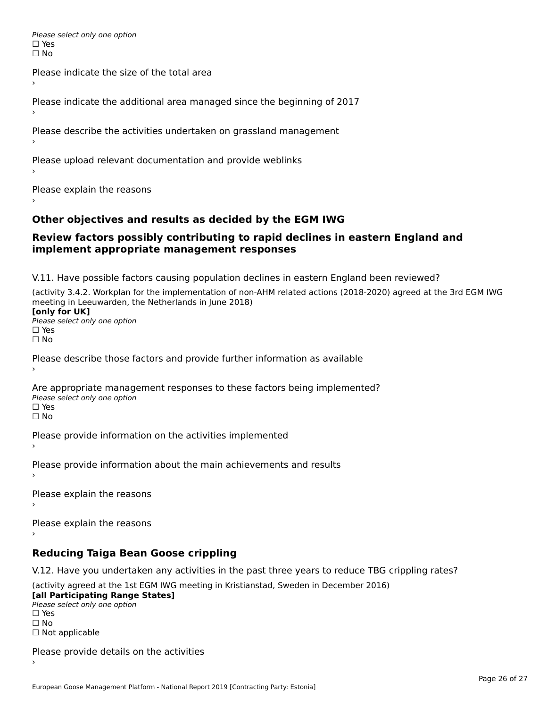Please select only one option □ Yes<br>□ No

Please indicate the size of the total area›

Please indicate the additional area managed since the beginning of 2017

Please describe the activities undertaken on grassland management

Please upload relevant documentation and provide weblinks

Please explain the reasons

### **Other objectives and results as decided by the EGM IWG**

#### **Review factors possibly contributing to rapid declines in eastern England and implement appropriate management responses**implement appropriate management responses

V.11. Have possible factors causing population declines in eastern England been reviewed?

(activity 3.4.2. Workplan for the implementation of non-AHM related actions (2018-2020) agreed at the 3rd EGM IWG meeting in Leeuwarden, the Netherlands in June 2018)<br>**[only for UK]** 

**∐omy for OR**<br>Please select only one option □ Yes<br>□ No

Please describe those factors and provide further information as available

Are appropriate management responses to these factors being implemented? Please select only one option ים<br>⊡ No

Please provide information on the activities implemented

Please provide information about the main achievements and results›

Please explain the reasons

Please explain the reasons

**Reducing Taiga Bean Goose crippling**

V.12. Have you undertaken any activities in the past three years to reduce TBG crippling rates?

(activity agreed at the 1st EGM IWG meeting in Kristianstad, Sweden in December 2016) **[all Participating Range States]**

[all Participating Range States] Please select only one option☐ Yesים<br>⊡ No □ Not applicable

Please provide details on the activities